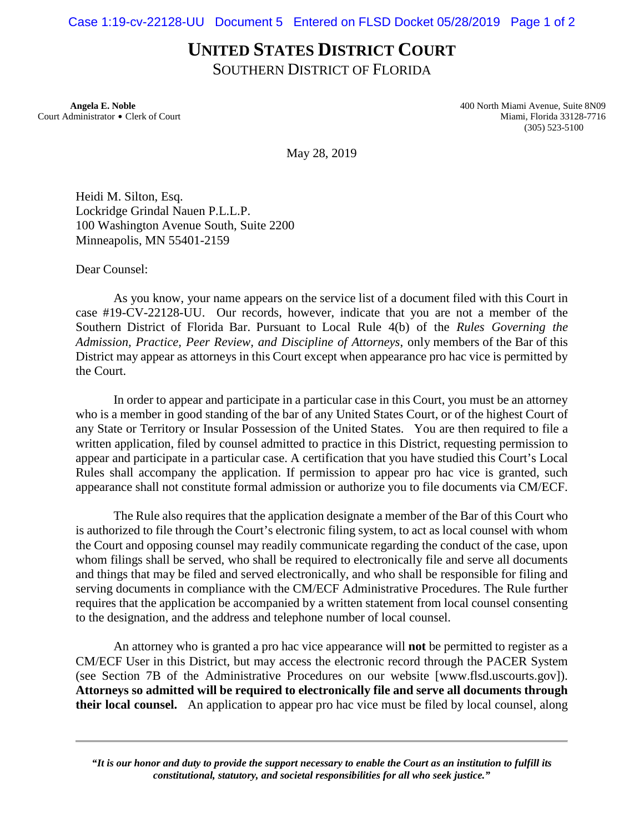## **UNITED STATES DISTRICT COURT**

SOUTHERN DISTRICT OF FLORIDA

 **Angela E. Noble** 400 North Miami Avenue, Suite 8N09 Court Administrator \$ Clerk of Court Miami, Florida 33128-7716 (305) 523-5100

May 28, 2019

Heidi M. Silton, Esq. Lockridge Grindal Nauen P.L.L.P. 100 Washington Avenue South, Suite 2200 Minneapolis, MN 55401-2159

Dear Counsel:

As you know, your name appears on the service list of a document filed with this Court in case #19-CV-22128-UU. Our records, however, indicate that you are not a member of the Southern District of Florida Bar. Pursuant to Local Rule 4(b) of the *Rules Governing the Admission, Practice, Peer Review, and Discipline of Attorneys*, only members of the Bar of this District may appear as attorneys in this Court except when appearance pro hac vice is permitted by the Court.

In order to appear and participate in a particular case in this Court, you must be an attorney who is a member in good standing of the bar of any United States Court, or of the highest Court of any State or Territory or Insular Possession of the United States. You are then required to file a written application, filed by counsel admitted to practice in this District, requesting permission to appear and participate in a particular case. A certification that you have studied this Court's Local Rules shall accompany the application. If permission to appear pro hac vice is granted, such appearance shall not constitute formal admission or authorize you to file documents via CM/ECF.

The Rule also requires that the application designate a member of the Bar of this Court who is authorized to file through the Court's electronic filing system, to act as local counsel with whom the Court and opposing counsel may readily communicate regarding the conduct of the case, upon whom filings shall be served, who shall be required to electronically file and serve all documents and things that may be filed and served electronically, and who shall be responsible for filing and serving documents in compliance with the CM/ECF Administrative Procedures. The Rule further requires that the application be accompanied by a written statement from local counsel consenting to the designation, and the address and telephone number of local counsel.

An attorney who is granted a pro hac vice appearance will **not** be permitted to register as a CM/ECF User in this District, but may access the electronic record through the PACER System (see Section 7B of the Administrative Procedures on our website [www.flsd.uscourts.gov]). **Attorneys so admitted will be required to electronically file and serve all documents through their local counsel.** An application to appear pro hac vice must be filed by local counsel, along

*"It is our honor and duty to provide the support necessary to enable the Court as an institution to fulfill its constitutional, statutory, and societal responsibilities for all who seek justice."*